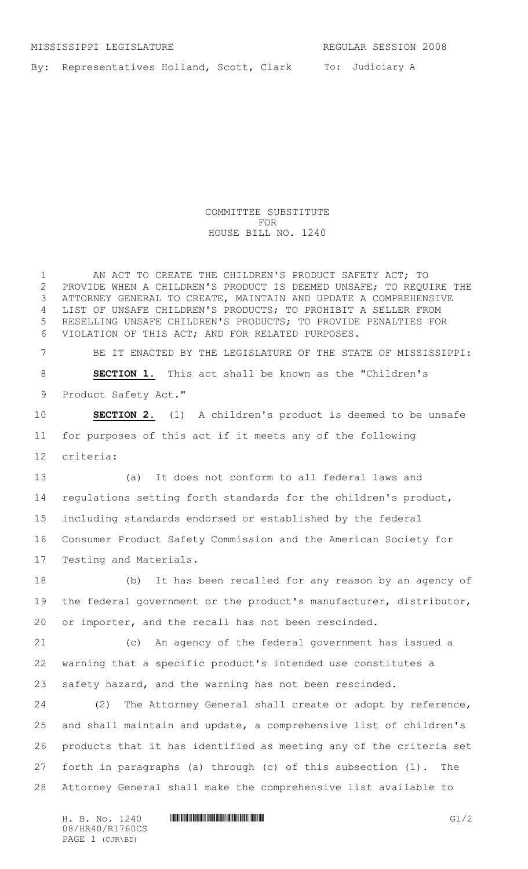To: Judiciary A By: Representatives Holland, Scott, Clark

> COMMITTEE SUBSTITUTE FOR HOUSE BILL NO. 1240

1 AN ACT TO CREATE THE CHILDREN'S PRODUCT SAFETY ACT; TO PROVIDE WHEN A CHILDREN'S PRODUCT IS DEEMED UNSAFE; TO REQUIRE THE ATTORNEY GENERAL TO CREATE, MAINTAIN AND UPDATE A COMPREHENSIVE LIST OF UNSAFE CHILDREN'S PRODUCTS; TO PROHIBIT A SELLER FROM RESELLING UNSAFE CHILDREN'S PRODUCTS; TO PROVIDE PENALTIES FOR VIOLATION OF THIS ACT; AND FOR RELATED PURPOSES.

 BE IT ENACTED BY THE LEGISLATURE OF THE STATE OF MISSISSIPPI: **SECTION 1.** This act shall be known as the "Children's Product Safety Act."

 **SECTION 2.** (1) A children's product is deemed to be unsafe for purposes of this act if it meets any of the following criteria:

 (a) It does not conform to all federal laws and regulations setting forth standards for the children's product, including standards endorsed or established by the federal Consumer Product Safety Commission and the American Society for Testing and Materials.

 (b) It has been recalled for any reason by an agency of 19 the federal government or the product's manufacturer, distributor, or importer, and the recall has not been rescinded.

 (c) An agency of the federal government has issued a warning that a specific product's intended use constitutes a safety hazard, and the warning has not been rescinded.

 (2) The Attorney General shall create or adopt by reference, and shall maintain and update, a comprehensive list of children's products that it has identified as meeting any of the criteria set forth in paragraphs (a) through (c) of this subsection (1). The Attorney General shall make the comprehensive list available to

08/HR40/R1760CS PAGE 1 (CJR\BD)

H. B. No. 1240 **HR400 EXECUTE EXECUTE EXECUTE EXECUTE EXECUTE EXECUTE EXECUTE EXECUTE EXECUTE EXECUTE EXECUTE EXECUTE EXECUTE EXECUTE EXECUTE EXECUTE EXECUTE EXECUTE EXECUTE EXECUTE EXECUTE EXECUTE EXECUTE EXECUTE EXECUTE**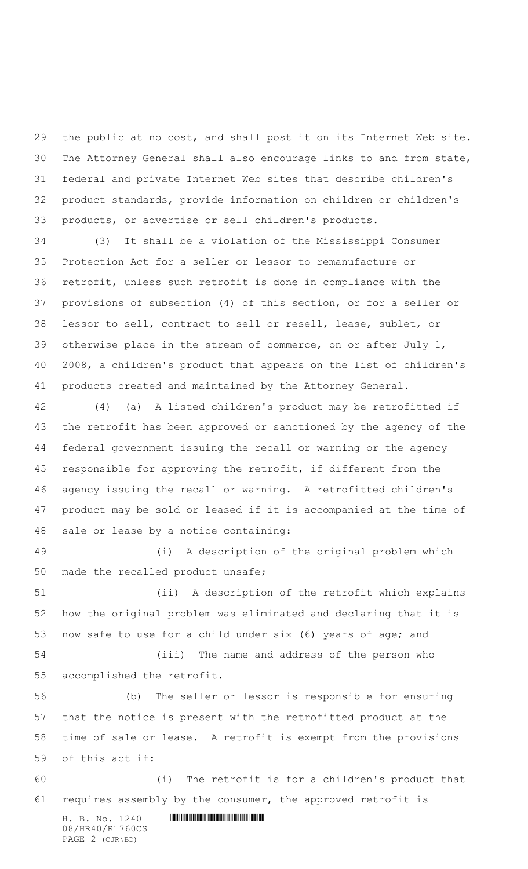the public at no cost, and shall post it on its Internet Web site. The Attorney General shall also encourage links to and from state, federal and private Internet Web sites that describe children's product standards, provide information on children or children's products, or advertise or sell children's products.

 (3) It shall be a violation of the Mississippi Consumer Protection Act for a seller or lessor to remanufacture or retrofit, unless such retrofit is done in compliance with the provisions of subsection (4) of this section, or for a seller or lessor to sell, contract to sell or resell, lease, sublet, or otherwise place in the stream of commerce, on or after July 1, 2008, a children's product that appears on the list of children's products created and maintained by the Attorney General.

 (4) (a) A listed children's product may be retrofitted if the retrofit has been approved or sanctioned by the agency of the federal government issuing the recall or warning or the agency responsible for approving the retrofit, if different from the agency issuing the recall or warning. A retrofitted children's product may be sold or leased if it is accompanied at the time of sale or lease by a notice containing:

 (i) A description of the original problem which made the recalled product unsafe;

 (ii) A description of the retrofit which explains how the original problem was eliminated and declaring that it is now safe to use for a child under six (6) years of age; and

 (iii) The name and address of the person who accomplished the retrofit.

 (b) The seller or lessor is responsible for ensuring that the notice is present with the retrofitted product at the time of sale or lease. A retrofit is exempt from the provisions of this act if:

 (i) The retrofit is for a children's product that requires assembly by the consumer, the approved retrofit is

 $H. B. No. 1240$  . HENGING THE SET OF STATE  $H. B. N \circ A. 1240$ 08/HR40/R1760CS PAGE 2 (CJR\BD)